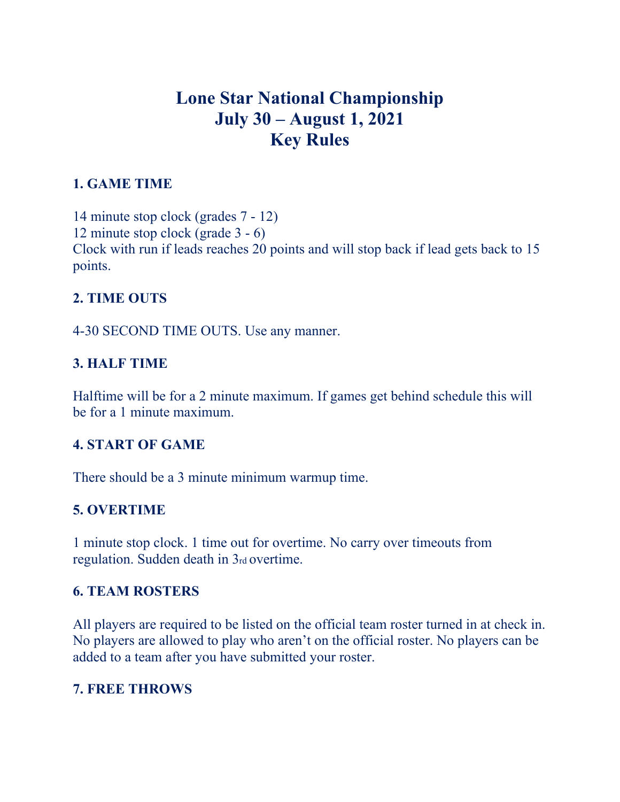# **Lone Star National Championship July 30 – August 1, 2021 Key Rules**

# **1. GAME TIME**

14 minute stop clock (grades 7 - 12) 12 minute stop clock (grade 3 - 6) Clock with run if leads reaches 20 points and will stop back if lead gets back to 15 points.

## **2. TIME OUTS**

#### 4-30 SECOND TIME OUTS. Use any manner.

## **3. HALF TIME**

Halftime will be for a 2 minute maximum. If games get behind schedule this will be for a 1 minute maximum.

#### **4. START OF GAME**

There should be a 3 minute minimum warmup time.

#### **5. OVERTIME**

1 minute stop clock. 1 time out for overtime. No carry over timeouts from regulation. Sudden death in 3rd overtime.

#### **6. TEAM ROSTERS**

All players are required to be listed on the official team roster turned in at check in. No players are allowed to play who aren't on the official roster. No players can be added to a team after you have submitted your roster.

#### **7. FREE THROWS**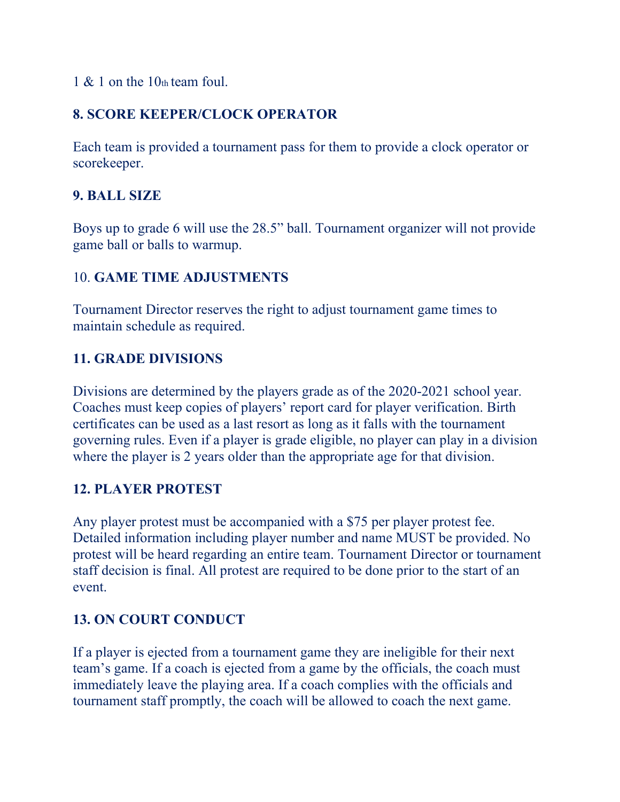#### 1 & 1 on the 10th team foul.

# **8. SCORE KEEPER/CLOCK OPERATOR**

Each team is provided a tournament pass for them to provide a clock operator or scorekeeper.

#### **9. BALL SIZE**

Boys up to grade 6 will use the 28.5" ball. Tournament organizer will not provide game ball or balls to warmup.

## 10. **GAME TIME ADJUSTMENTS**

Tournament Director reserves the right to adjust tournament game times to maintain schedule as required.

# **11. GRADE DIVISIONS**

Divisions are determined by the players grade as of the 2020-2021 school year. Coaches must keep copies of players' report card for player verification. Birth certificates can be used as a last resort as long as it falls with the tournament governing rules. Even if a player is grade eligible, no player can play in a division where the player is 2 years older than the appropriate age for that division.

# **12. PLAYER PROTEST**

Any player protest must be accompanied with a \$75 per player protest fee. Detailed information including player number and name MUST be provided. No protest will be heard regarding an entire team. Tournament Director or tournament staff decision is final. All protest are required to be done prior to the start of an event.

# **13. ON COURT CONDUCT**

If a player is ejected from a tournament game they are ineligible for their next team's game. If a coach is ejected from a game by the officials, the coach must immediately leave the playing area. If a coach complies with the officials and tournament staff promptly, the coach will be allowed to coach the next game.